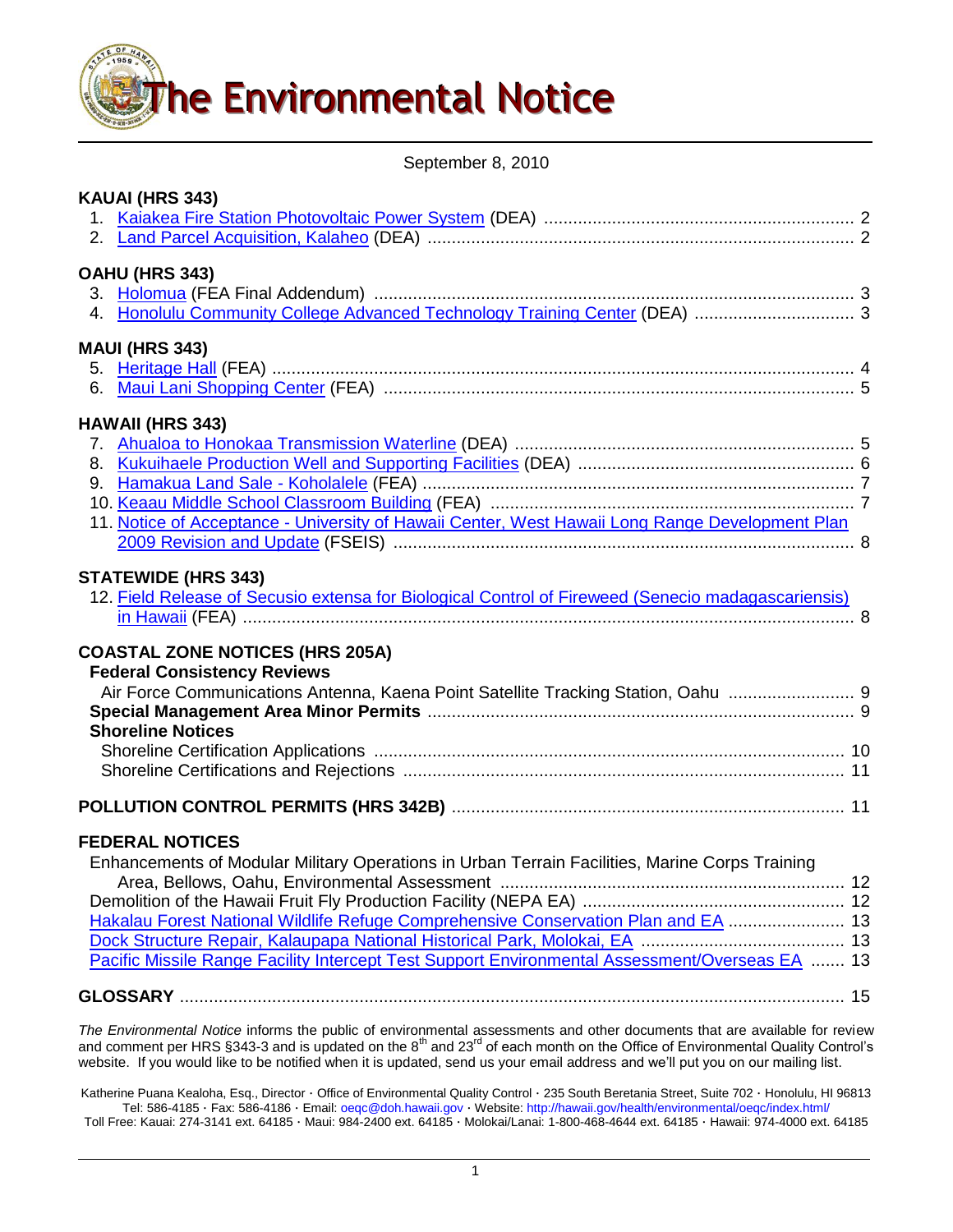

September 8, 2010

| KAUAI (HRS 343)                                                                                    |      |
|----------------------------------------------------------------------------------------------------|------|
|                                                                                                    |      |
|                                                                                                    |      |
| OAHU (HRS 343)                                                                                     |      |
|                                                                                                    |      |
| 4. Honolulu Community College Advanced Technology Training Center (DEA)  3                         |      |
| <b>MAUI (HRS 343)</b>                                                                              |      |
|                                                                                                    |      |
|                                                                                                    |      |
| <b>HAWAII (HRS 343)</b>                                                                            |      |
|                                                                                                    |      |
|                                                                                                    |      |
|                                                                                                    |      |
|                                                                                                    |      |
| 11. Notice of Acceptance - University of Hawaii Center, West Hawaii Long Range Development Plan    |      |
|                                                                                                    |      |
| <b>STATEWIDE (HRS 343)</b>                                                                         |      |
| 12. Field Release of Secusio extensa for Biological Control of Fireweed (Senecio madagascariensis) |      |
|                                                                                                    |      |
| <b>COASTAL ZONE NOTICES (HRS 205A)</b>                                                             |      |
| <b>Federal Consistency Reviews</b>                                                                 |      |
| Air Force Communications Antenna, Kaena Point Satellite Tracking Station, Oahu  9                  |      |
|                                                                                                    |      |
| <b>Shoreline Notices</b>                                                                           |      |
|                                                                                                    |      |
|                                                                                                    |      |
|                                                                                                    |      |
|                                                                                                    |      |
| <b>FEDERAL NOTICES</b>                                                                             |      |
| Enhancements of Modular Military Operations in Urban Terrain Facilities, Marine Corps Training     |      |
|                                                                                                    | . 12 |
|                                                                                                    |      |
| Hakalau Forest National Wildlife Refuge Comprehensive Conservation Plan and EA  13                 |      |
|                                                                                                    |      |
| Pacific Missile Range Facility Intercept Test Support Environmental Assessment/Overseas EA  13     |      |
|                                                                                                    |      |
|                                                                                                    |      |

*The Environmental Notice* informs the public of environmental assessments and other documents that are available for review and comment per HRS §343-3 and is updated on the 8<sup>th</sup> and 23<sup>rd</sup> of each month on the Office of Environmental Quality Control's website. If you would like to be notified when it is updated, send us your email address and we'll put you on our mailing list.

Katherine Puana Kealoha, Esq., Director · Office of Environmental Quality Control · 235 South Beretania Street, Suite 702 · Honolulu, HI 96813 Tel: 586-4185 · Fax: 586-4186 · Email: [oeqc@doh.hawaii.gov](mailto:oeqc@doh.hawaii.gov) · Website[: http://hawaii.gov/health/environmental/oeqc/index.html/](http://hawaii.gov/health/environmental/oeqc/index.html/) Toll Free: Kauai: 274-3141 ext. 64185 · Maui: 984-2400 ext. 64185 · Molokai/Lanai: 1-800-468-4644 ext. 64185 · Hawaii: 974-4000 ext. 64185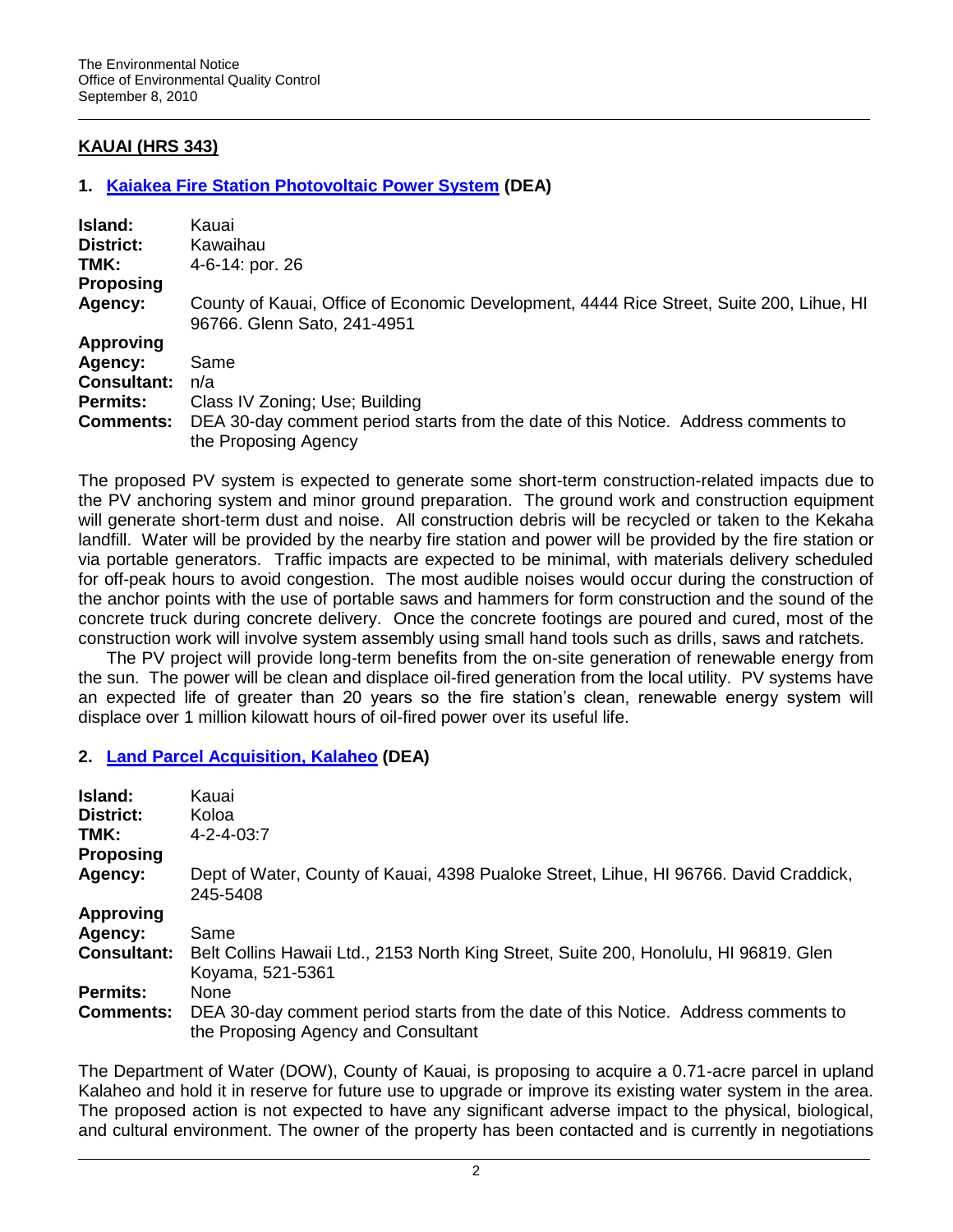# **KAUAI (HRS 343)**

### **1. [Kaiakea Fire Station Photovoltaic Power System](http://oeqc.doh.hawaii.gov/Shared%20Documents/EA_and_EIS_Online_Library/Kauai/2010s/2010-09-08-KA-DEA-Kaiakea-Fire-Station-Photovoltaic.pdf) (DEA)**

| Island:            | Kauai                                                                                                                  |
|--------------------|------------------------------------------------------------------------------------------------------------------------|
| District:          | Kawaihau                                                                                                               |
| TMK:               | 4-6-14: por. 26                                                                                                        |
| <b>Proposing</b>   |                                                                                                                        |
| Agency:            | County of Kauai, Office of Economic Development, 4444 Rice Street, Suite 200, Lihue, HI<br>96766. Glenn Sato, 241-4951 |
| <b>Approving</b>   |                                                                                                                        |
| Agency:            | Same                                                                                                                   |
| <b>Consultant:</b> | n/a                                                                                                                    |
| <b>Permits:</b>    | Class IV Zoning; Use; Building                                                                                         |
| <b>Comments:</b>   | DEA 30-day comment period starts from the date of this Notice. Address comments to<br>the Proposing Agency             |

The proposed PV system is expected to generate some short-term construction-related impacts due to the PV anchoring system and minor ground preparation. The ground work and construction equipment will generate short-term dust and noise. All construction debris will be recycled or taken to the Kekaha landfill. Water will be provided by the nearby fire station and power will be provided by the fire station or via portable generators. Traffic impacts are expected to be minimal, with materials delivery scheduled for off-peak hours to avoid congestion. The most audible noises would occur during the construction of the anchor points with the use of portable saws and hammers for form construction and the sound of the concrete truck during concrete delivery. Once the concrete footings are poured and cured, most of the construction work will involve system assembly using small hand tools such as drills, saws and ratchets.

The PV project will provide long-term benefits from the on-site generation of renewable energy from the sun. The power will be clean and displace oil-fired generation from the local utility. PV systems have an expected life of greater than 20 years so the fire station"s clean, renewable energy system will displace over 1 million kilowatt hours of oil-fired power over its useful life.

### **2. [Land Parcel Acquisition, Kalaheo](http://oeqc.doh.hawaii.gov/Shared%20Documents/EA_and_EIS_Online_Library/Kauai/2010s/2010-09-08-KA-DEA-Land-Acq-Kalaheo.pdf) (DEA)**

| Island:<br><b>District:</b><br>TMK:<br><b>Proposing</b> | Kauai<br>Koloa<br>$4 - 2 - 4 - 03:7$                                                                                      |
|---------------------------------------------------------|---------------------------------------------------------------------------------------------------------------------------|
| Agency:                                                 | Dept of Water, County of Kauai, 4398 Pualoke Street, Lihue, HI 96766. David Craddick,<br>245-5408                         |
| <b>Approving</b>                                        |                                                                                                                           |
| Agency:                                                 | Same                                                                                                                      |
| <b>Consultant:</b>                                      | Belt Collins Hawaii Ltd., 2153 North King Street, Suite 200, Honolulu, HI 96819. Glen<br>Koyama, 521-5361                 |
| <b>Permits:</b>                                         | <b>None</b>                                                                                                               |
| <b>Comments:</b>                                        | DEA 30-day comment period starts from the date of this Notice. Address comments to<br>the Proposing Agency and Consultant |

The Department of Water (DOW), County of Kauai, is proposing to acquire a 0.71-acre parcel in upland Kalaheo and hold it in reserve for future use to upgrade or improve its existing water system in the area. The proposed action is not expected to have any significant adverse impact to the physical, biological, and cultural environment. The owner of the property has been contacted and is currently in negotiations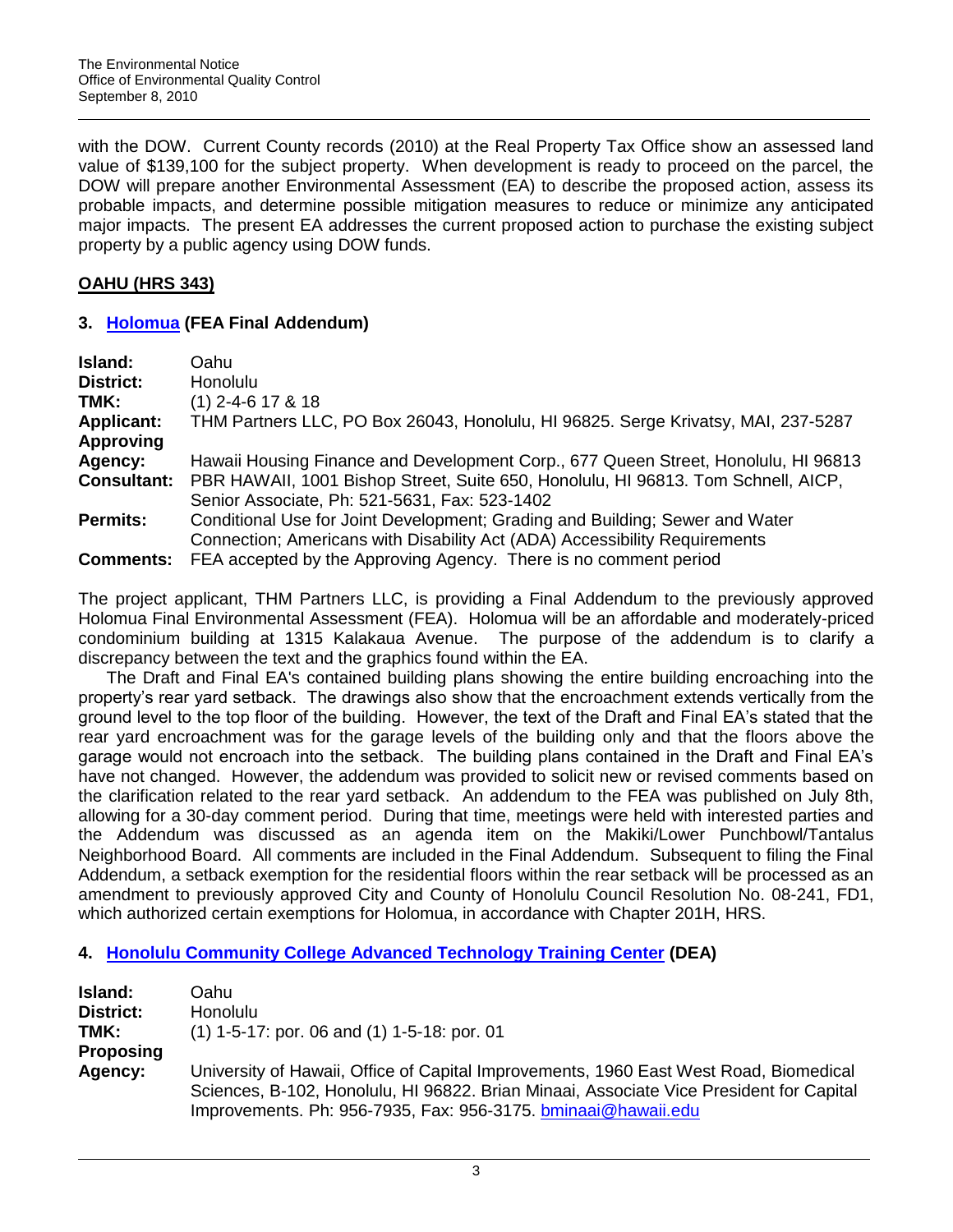with the DOW. Current County records (2010) at the Real Property Tax Office show an assessed land value of \$139,100 for the subject property. When development is ready to proceed on the parcel, the DOW will prepare another Environmental Assessment (EA) to describe the proposed action, assess its probable impacts, and determine possible mitigation measures to reduce or minimize any anticipated major impacts. The present EA addresses the current proposed action to purchase the existing subject property by a public agency using DOW funds.

# **OAHU (HRS 343)**

## **3. [Holomua](http://oeqc.doh.hawaii.gov/Shared%20Documents/EA_and_EIS_Online_Library/Oahu/2010s/2010-09-08-OA-FEA-Holomua-Final-Addendum.pdf) (FEA Final Addendum)**

| Oahu                                                                               |
|------------------------------------------------------------------------------------|
| Honolulu                                                                           |
| $(1)$ 2-4-6 17 & 18                                                                |
| THM Partners LLC, PO Box 26043, Honolulu, HI 96825. Serge Krivatsy, MAI, 237-5287  |
|                                                                                    |
| Hawaii Housing Finance and Development Corp., 677 Queen Street, Honolulu, HI 96813 |
| PBR HAWAII, 1001 Bishop Street, Suite 650, Honolulu, HI 96813. Tom Schnell, AICP,  |
| Senior Associate, Ph: 521-5631, Fax: 523-1402                                      |
| Conditional Use for Joint Development; Grading and Building; Sewer and Water       |
| Connection; Americans with Disability Act (ADA) Accessibility Requirements         |
| FEA accepted by the Approving Agency. There is no comment period                   |
|                                                                                    |

The project applicant, THM Partners LLC, is providing a Final Addendum to the previously approved Holomua Final Environmental Assessment (FEA). Holomua will be an affordable and moderately-priced condominium building at 1315 Kalakaua Avenue. The purpose of the addendum is to clarify a discrepancy between the text and the graphics found within the EA.

The Draft and Final EA's contained building plans showing the entire building encroaching into the property"s rear yard setback. The drawings also show that the encroachment extends vertically from the ground level to the top floor of the building. However, the text of the Draft and Final EA"s stated that the rear yard encroachment was for the garage levels of the building only and that the floors above the garage would not encroach into the setback. The building plans contained in the Draft and Final EA"s have not changed. However, the addendum was provided to solicit new or revised comments based on the clarification related to the rear yard setback. An addendum to the FEA was published on July 8th, allowing for a 30-day comment period. During that time, meetings were held with interested parties and the Addendum was discussed as an agenda item on the Makiki/Lower Punchbowl/Tantalus Neighborhood Board. All comments are included in the Final Addendum. Subsequent to filing the Final Addendum, a setback exemption for the residential floors within the rear setback will be processed as an amendment to previously approved City and County of Honolulu Council Resolution No. 08-241, FD1, which authorized certain exemptions for Holomua, in accordance with Chapter 201H, HRS.

# **4. [Honolulu Community College Advanced Technology Training Center](http://oeqc.doh.hawaii.gov/Shared%20Documents/EA_and_EIS_Online_Library/Oahu/2010s/2010-09-08-OA-DEA-Honolulu-Community-College-Training-Center.pdf) (DEA)**

| Island:          | Oahu                                                                                    |
|------------------|-----------------------------------------------------------------------------------------|
| <b>District:</b> | <b>Honolulu</b>                                                                         |
| TMK:             | $(1)$ 1-5-17: por. 06 and $(1)$ 1-5-18: por. 01                                         |
| <b>Proposing</b> |                                                                                         |
| Agency:          | University of Hawaii, Office of Capital Improvements, 1960 East West Road, Biomedical   |
|                  | Sciences, B-102, Honolulu, HI 96822. Brian Minaai, Associate Vice President for Capital |
|                  | Improvements. Ph: 956-7935, Fax: 956-3175. bminaai@hawaii.edu                           |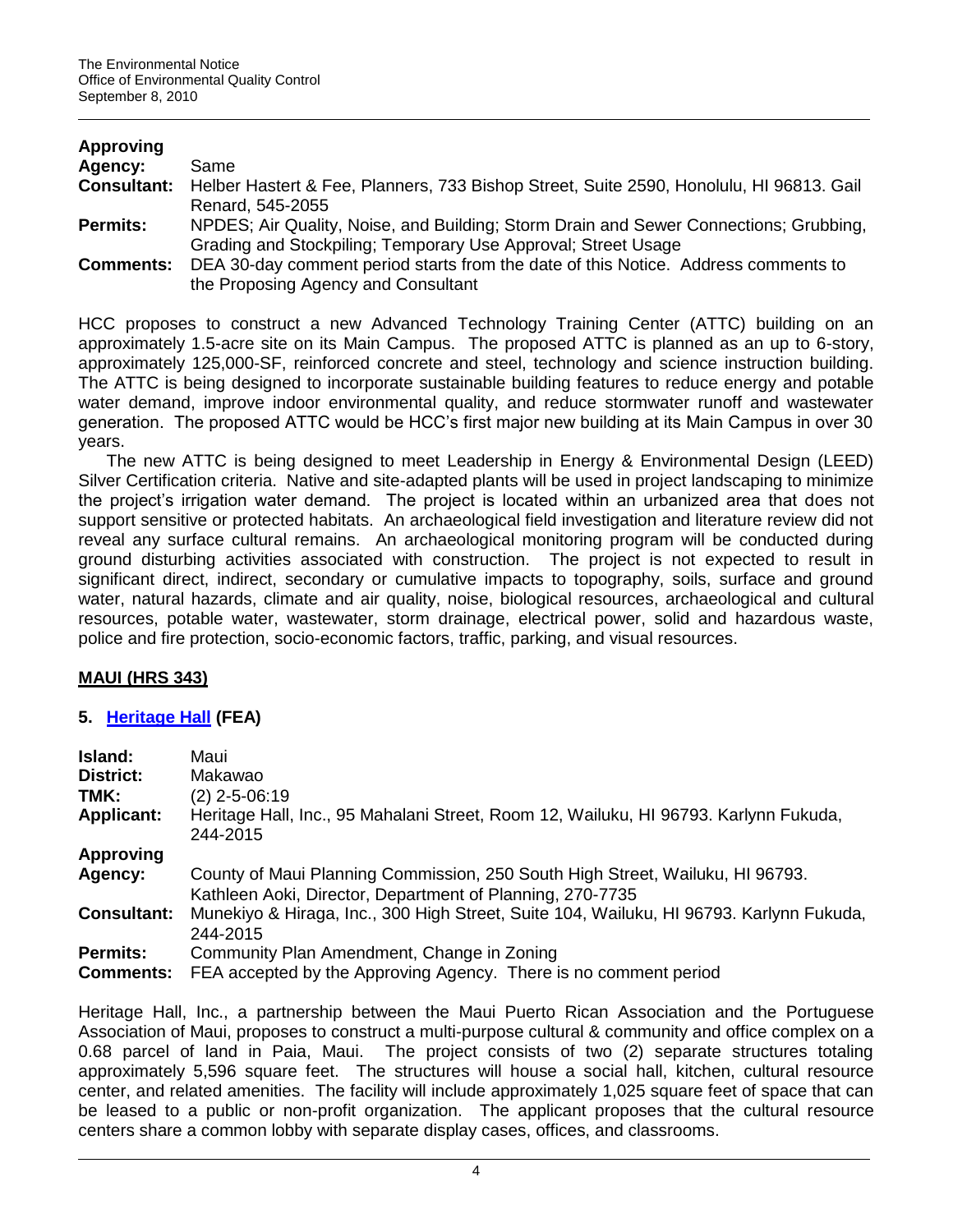| <b>Approving</b>   |                                                                                         |
|--------------------|-----------------------------------------------------------------------------------------|
| Agency:            | Same                                                                                    |
| <b>Consultant:</b> | Helber Hastert & Fee, Planners, 733 Bishop Street, Suite 2590, Honolulu, HI 96813. Gail |
|                    | Renard, 545-2055                                                                        |
| <b>Permits:</b>    | NPDES; Air Quality, Noise, and Building; Storm Drain and Sewer Connections; Grubbing,   |
|                    | Grading and Stockpiling; Temporary Use Approval; Street Usage                           |
| <b>Comments:</b>   | DEA 30-day comment period starts from the date of this Notice. Address comments to      |
|                    | the Proposing Agency and Consultant                                                     |

HCC proposes to construct a new Advanced Technology Training Center (ATTC) building on an approximately 1.5-acre site on its Main Campus. The proposed ATTC is planned as an up to 6-story, approximately 125,000-SF, reinforced concrete and steel, technology and science instruction building. The ATTC is being designed to incorporate sustainable building features to reduce energy and potable water demand, improve indoor environmental quality, and reduce stormwater runoff and wastewater generation. The proposed ATTC would be HCC"s first major new building at its Main Campus in over 30 years.

The new ATTC is being designed to meet Leadership in Energy & Environmental Design (LEED) Silver Certification criteria. Native and site-adapted plants will be used in project landscaping to minimize the project's irrigation water demand. The project is located within an urbanized area that does not support sensitive or protected habitats. An archaeological field investigation and literature review did not reveal any surface cultural remains. An archaeological monitoring program will be conducted during ground disturbing activities associated with construction. The project is not expected to result in significant direct, indirect, secondary or cumulative impacts to topography, soils, surface and ground water, natural hazards, climate and air quality, noise, biological resources, archaeological and cultural resources, potable water, wastewater, storm drainage, electrical power, solid and hazardous waste, police and fire protection, socio-economic factors, traffic, parking, and visual resources.

## **MAUI (HRS 343)**

## **5. [Heritage Hall](http://oeqc.doh.hawaii.gov/Shared%20Documents/EA_and_EIS_Online_Library/Maui/2010s/2010-09-08-MA-FEA-Heritage-Hall-Paia.pdf) (FEA)**

| Island:            | Maui                                                                                                                                       |
|--------------------|--------------------------------------------------------------------------------------------------------------------------------------------|
| <b>District:</b>   | Makawao                                                                                                                                    |
| TMK:               | $(2)$ 2-5-06:19                                                                                                                            |
| <b>Applicant:</b>  | Heritage Hall, Inc., 95 Mahalani Street, Room 12, Wailuku, HI 96793. Karlynn Fukuda,<br>244-2015                                           |
| <b>Approving</b>   |                                                                                                                                            |
| Agency:            | County of Maui Planning Commission, 250 South High Street, Wailuku, HI 96793.<br>Kathleen Aoki, Director, Department of Planning, 270-7735 |
| <b>Consultant:</b> | Munekiyo & Hiraga, Inc., 300 High Street, Suite 104, Wailuku, HI 96793. Karlynn Fukuda,<br>244-2015                                        |
| <b>Permits:</b>    | Community Plan Amendment, Change in Zoning                                                                                                 |
| <b>Comments:</b>   | FEA accepted by the Approving Agency. There is no comment period                                                                           |

Heritage Hall, Inc., a partnership between the Maui Puerto Rican Association and the Portuguese Association of Maui, proposes to construct a multi-purpose cultural & community and office complex on a 0.68 parcel of land in Paia, Maui. The project consists of two (2) separate structures totaling approximately 5,596 square feet. The structures will house a social hall, kitchen, cultural resource center, and related amenities. The facility will include approximately 1,025 square feet of space that can be leased to a public or non-profit organization. The applicant proposes that the cultural resource centers share a common lobby with separate display cases, offices, and classrooms.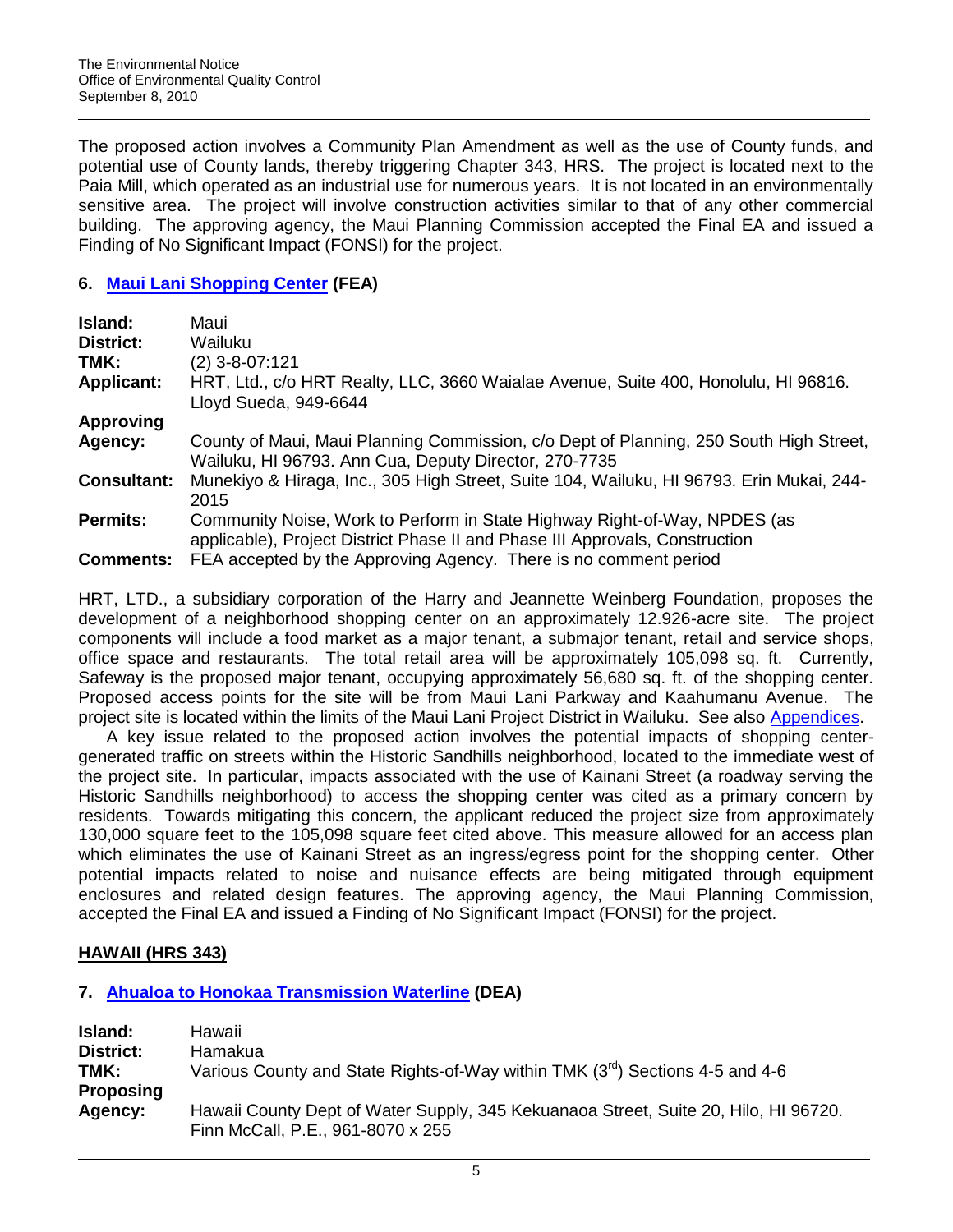The proposed action involves a Community Plan Amendment as well as the use of County funds, and potential use of County lands, thereby triggering Chapter 343, HRS. The project is located next to the Paia Mill, which operated as an industrial use for numerous years. It is not located in an environmentally sensitive area. The project will involve construction activities similar to that of any other commercial building. The approving agency, the Maui Planning Commission accepted the Final EA and issued a Finding of No Significant Impact (FONSI) for the project.

## **6. [Maui Lani Shopping Center](http://oeqc.doh.hawaii.gov/Shared%20Documents/EA_and_EIS_Online_Library/Maui/2010s/2010-09-08-MA-FEA-Maui-Lani-Shopping-Center-Vol1.pdf) (FEA)**

| Island:            | Maui                                                                                                                                                      |
|--------------------|-----------------------------------------------------------------------------------------------------------------------------------------------------------|
| <b>District:</b>   | Wailuku                                                                                                                                                   |
| TMK:               | $(2)$ 3-8-07:121                                                                                                                                          |
| <b>Applicant:</b>  | HRT, Ltd., c/o HRT Realty, LLC, 3660 Waialae Avenue, Suite 400, Honolulu, HI 96816.<br>Lloyd Sueda, 949-6644                                              |
| <b>Approving</b>   |                                                                                                                                                           |
| Agency:            | County of Maui, Maui Planning Commission, c/o Dept of Planning, 250 South High Street,<br>Wailuku, HI 96793. Ann Cua, Deputy Director, 270-7735           |
| <b>Consultant:</b> | Munekiyo & Hiraga, Inc., 305 High Street, Suite 104, Wailuku, HI 96793. Erin Mukai, 244-<br>2015                                                          |
| <b>Permits:</b>    | Community Noise, Work to Perform in State Highway Right-of-Way, NPDES (as<br>applicable), Project District Phase II and Phase III Approvals, Construction |
| <b>Comments:</b>   | FEA accepted by the Approving Agency. There is no comment period                                                                                          |

HRT, LTD., a subsidiary corporation of the Harry and Jeannette Weinberg Foundation, proposes the development of a neighborhood shopping center on an approximately 12.926-acre site. The project components will include a food market as a major tenant, a submajor tenant, retail and service shops, office space and restaurants. The total retail area will be approximately 105,098 sq. ft. Currently, Safeway is the proposed major tenant, occupying approximately 56,680 sq. ft. of the shopping center. Proposed access points for the site will be from Maui Lani Parkway and Kaahumanu Avenue. The project site is located within the limits of the Maui Lani Project District in Wailuku. See also [Appendices.](http://oeqc.doh.hawaii.gov/Shared%20Documents/EA_and_EIS_Online_Library/Maui/2010s/2010-09-08-MA-FEA-Maui-Lani-Shopping-Center-Vol2.pdf)

A key issue related to the proposed action involves the potential impacts of shopping centergenerated traffic on streets within the Historic Sandhills neighborhood, located to the immediate west of the project site. In particular, impacts associated with the use of Kainani Street (a roadway serving the Historic Sandhills neighborhood) to access the shopping center was cited as a primary concern by residents. Towards mitigating this concern, the applicant reduced the project size from approximately 130,000 square feet to the 105,098 square feet cited above. This measure allowed for an access plan which eliminates the use of Kainani Street as an ingress/egress point for the shopping center. Other potential impacts related to noise and nuisance effects are being mitigated through equipment enclosures and related design features. The approving agency, the Maui Planning Commission, accepted the Final EA and issued a Finding of No Significant Impact (FONSI) for the project.

# **HAWAII (HRS 343)**

# **7. [Ahualoa to Honokaa Transmission Waterline](http://oeqc.doh.hawaii.gov/Shared%20Documents/EA_and_EIS_Online_Library/Hawaii/2010s/2010-09-08-HA-DEA-Ahualoa-Water.pdf) (DEA)**

| Island:          | Hawaii                                                                              |
|------------------|-------------------------------------------------------------------------------------|
| District:        | Hamakua                                                                             |
| TMK:             | Various County and State Rights-of-Way within TMK $(3rd)$ Sections 4-5 and 4-6      |
| <b>Proposing</b> |                                                                                     |
| Agency:          | Hawaii County Dept of Water Supply, 345 Kekuanaoa Street, Suite 20, Hilo, HI 96720. |
|                  | Finn McCall, P.E., 961-8070 x 255                                                   |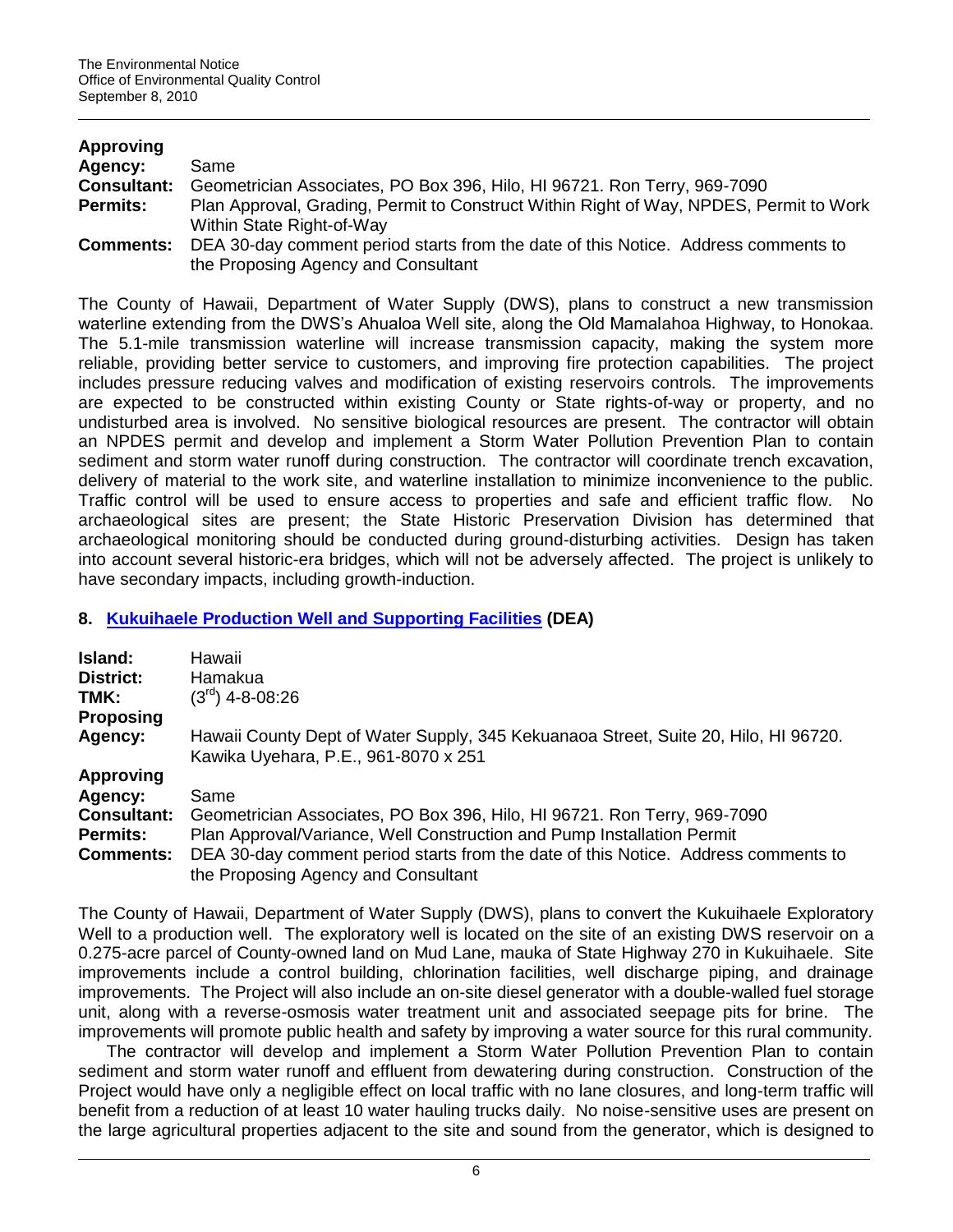| <b>Approving</b>   |                                                                                        |
|--------------------|----------------------------------------------------------------------------------------|
| Agency:            | Same                                                                                   |
| <b>Consultant:</b> | Geometrician Associates, PO Box 396, Hilo, HI 96721. Ron Terry, 969-7090               |
| <b>Permits:</b>    | Plan Approval, Grading, Permit to Construct Within Right of Way, NPDES, Permit to Work |
|                    | Within State Right-of-Way                                                              |
| Comments:          | DEA 30-day comment period starts from the date of this Notice. Address comments to     |
|                    | the Proposing Agency and Consultant                                                    |

The County of Hawaii, Department of Water Supply (DWS), plans to construct a new transmission waterline extending from the DWS"s Ahualoa Well site, along the Old Mamalahoa Highway, to Honokaa. The 5.1-mile transmission waterline will increase transmission capacity, making the system more reliable, providing better service to customers, and improving fire protection capabilities. The project includes pressure reducing valves and modification of existing reservoirs controls. The improvements are expected to be constructed within existing County or State rights-of-way or property, and no undisturbed area is involved. No sensitive biological resources are present. The contractor will obtain an NPDES permit and develop and implement a Storm Water Pollution Prevention Plan to contain sediment and storm water runoff during construction. The contractor will coordinate trench excavation, delivery of material to the work site, and waterline installation to minimize inconvenience to the public. Traffic control will be used to ensure access to properties and safe and efficient traffic flow. No archaeological sites are present; the State Historic Preservation Division has determined that archaeological monitoring should be conducted during ground-disturbing activities. Design has taken into account several historic-era bridges, which will not be adversely affected. The project is unlikely to have secondary impacts, including growth-induction.

## **8. [Kukuihaele Production Well and Supporting Facilities](http://oeqc.doh.hawaii.gov/Shared%20Documents/EA_and_EIS_Online_Library/Hawaii/2010s/2010-09-08-HA-DEA-Kukuihaele-Well.pdf) (DEA)**

| Island:            | Hawaii                                                                                                                      |
|--------------------|-----------------------------------------------------------------------------------------------------------------------------|
| <b>District:</b>   | Hamakua                                                                                                                     |
| TMK:               | $(3rd)$ 4-8-08:26                                                                                                           |
| <b>Proposing</b>   |                                                                                                                             |
| Agency:            | Hawaii County Dept of Water Supply, 345 Kekuanaoa Street, Suite 20, Hilo, HI 96720.<br>Kawika Uyehara, P.E., 961-8070 x 251 |
| <b>Approving</b>   |                                                                                                                             |
| Agency:            | Same                                                                                                                        |
| <b>Consultant:</b> | Geometrician Associates, PO Box 396, Hilo, HI 96721. Ron Terry, 969-7090                                                    |
| <b>Permits:</b>    | Plan Approval/Variance, Well Construction and Pump Installation Permit                                                      |
| <b>Comments:</b>   | DEA 30-day comment period starts from the date of this Notice. Address comments to                                          |
|                    | the Proposing Agency and Consultant                                                                                         |

The County of Hawaii, Department of Water Supply (DWS), plans to convert the Kukuihaele Exploratory Well to a production well. The exploratory well is located on the site of an existing DWS reservoir on a 0.275-acre parcel of County-owned land on Mud Lane, mauka of State Highway 270 in Kukuihaele. Site improvements include a control building, chlorination facilities, well discharge piping, and drainage improvements. The Project will also include an on-site diesel generator with a double-walled fuel storage unit, along with a reverse-osmosis water treatment unit and associated seepage pits for brine. The improvements will promote public health and safety by improving a water source for this rural community.

The contractor will develop and implement a Storm Water Pollution Prevention Plan to contain sediment and storm water runoff and effluent from dewatering during construction. Construction of the Project would have only a negligible effect on local traffic with no lane closures, and long-term traffic will benefit from a reduction of at least 10 water hauling trucks daily. No noise-sensitive uses are present on the large agricultural properties adjacent to the site and sound from the generator, which is designed to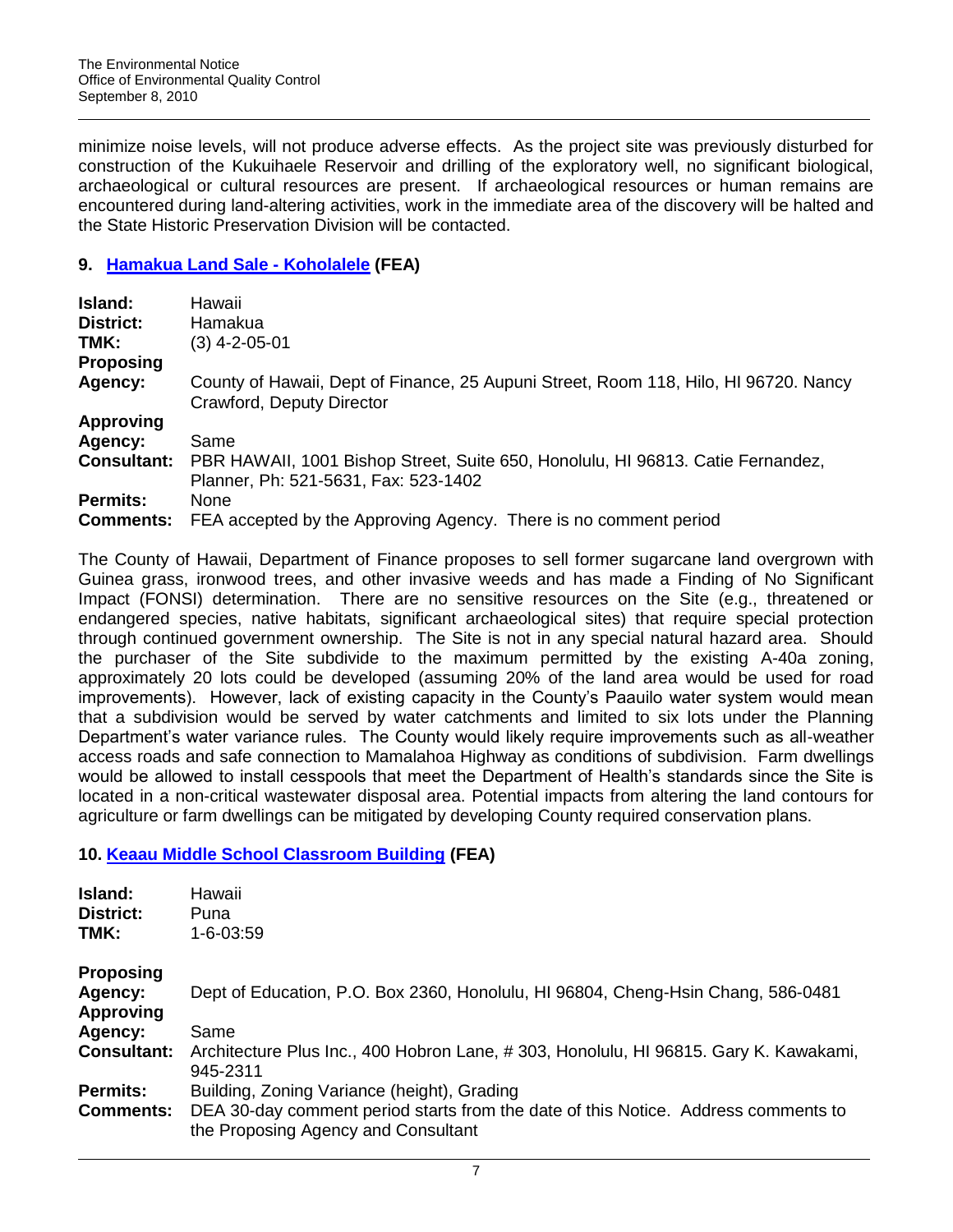minimize noise levels, will not produce adverse effects. As the project site was previously disturbed for construction of the Kukuihaele Reservoir and drilling of the exploratory well, no significant biological, archaeological or cultural resources are present. If archaeological resources or human remains are encountered during land-altering activities, work in the immediate area of the discovery will be halted and the State Historic Preservation Division will be contacted.

## **9. [Hamakua Land Sale -](http://oeqc.doh.hawaii.gov/Shared%20Documents/EA_and_EIS_Online_Library/Hawaii/2010s/2010-09-08-HA-FEA-Hamakua-Land-Sale-Koholalele.pdf) Koholalele (FEA)**

| Island:            | Hawaii                                                                                                                  |
|--------------------|-------------------------------------------------------------------------------------------------------------------------|
| District:          | Hamakua                                                                                                                 |
| TMK:               | (3) 4-2-05-01                                                                                                           |
| <b>Proposing</b>   |                                                                                                                         |
| Agency:            | County of Hawaii, Dept of Finance, 25 Aupuni Street, Room 118, Hilo, HI 96720. Nancy<br>Crawford, Deputy Director       |
| <b>Approving</b>   |                                                                                                                         |
| Agency:            | Same                                                                                                                    |
| <b>Consultant:</b> | PBR HAWAII, 1001 Bishop Street, Suite 650, Honolulu, HI 96813. Catie Fernandez,<br>Planner, Ph: 521-5631, Fax: 523-1402 |
| <b>Permits:</b>    | <b>None</b>                                                                                                             |
| <b>Comments:</b>   | FEA accepted by the Approving Agency. There is no comment period                                                        |

The County of Hawaii, Department of Finance proposes to sell former sugarcane land overgrown with Guinea grass, ironwood trees, and other invasive weeds and has made a Finding of No Significant Impact (FONSI) determination. There are no sensitive resources on the Site (e.g., threatened or endangered species, native habitats, significant archaeological sites) that require special protection through continued government ownership. The Site is not in any special natural hazard area. Should the purchaser of the Site subdivide to the maximum permitted by the existing A-40a zoning, approximately 20 lots could be developed (assuming 20% of the land area would be used for road improvements). However, lack of existing capacity in the County's Paauilo water system would mean that a subdivision would be served by water catchments and limited to six lots under the Planning Department's water variance rules. The County would likely require improvements such as all-weather access roads and safe connection to Mamalahoa Highway as conditions of subdivision. Farm dwellings would be allowed to install cesspools that meet the Department of Health"s standards since the Site is located in a non-critical wastewater disposal area. Potential impacts from altering the land contours for agriculture or farm dwellings can be mitigated by developing County required conservation plans.

## **10. [Keaau Middle School Classroom Building](http://oeqc.doh.hawaii.gov/Shared%20Documents/EA_and_EIS_Online_Library/Hawaii/2010s/2010-09-08-HA-FEA-Keaau-Mid-School.pdf) (FEA)**

| Island:                     | Hawaii                                                                                                                    |
|-----------------------------|---------------------------------------------------------------------------------------------------------------------------|
| <b>District:</b>            | Puna                                                                                                                      |
| TMK:                        | 1-6-03:59                                                                                                                 |
| <b>Proposing</b>            |                                                                                                                           |
| Agency:<br><b>Approving</b> | Dept of Education, P.O. Box 2360, Honolulu, HI 96804, Cheng-Hsin Chang, 586-0481                                          |
| Agency:                     | Same                                                                                                                      |
| <b>Consultant:</b>          | Architecture Plus Inc., 400 Hobron Lane, #303, Honolulu, HI 96815. Gary K. Kawakami,<br>945-2311                          |
| <b>Permits:</b>             | Building, Zoning Variance (height), Grading                                                                               |
| <b>Comments:</b>            | DEA 30-day comment period starts from the date of this Notice. Address comments to<br>the Proposing Agency and Consultant |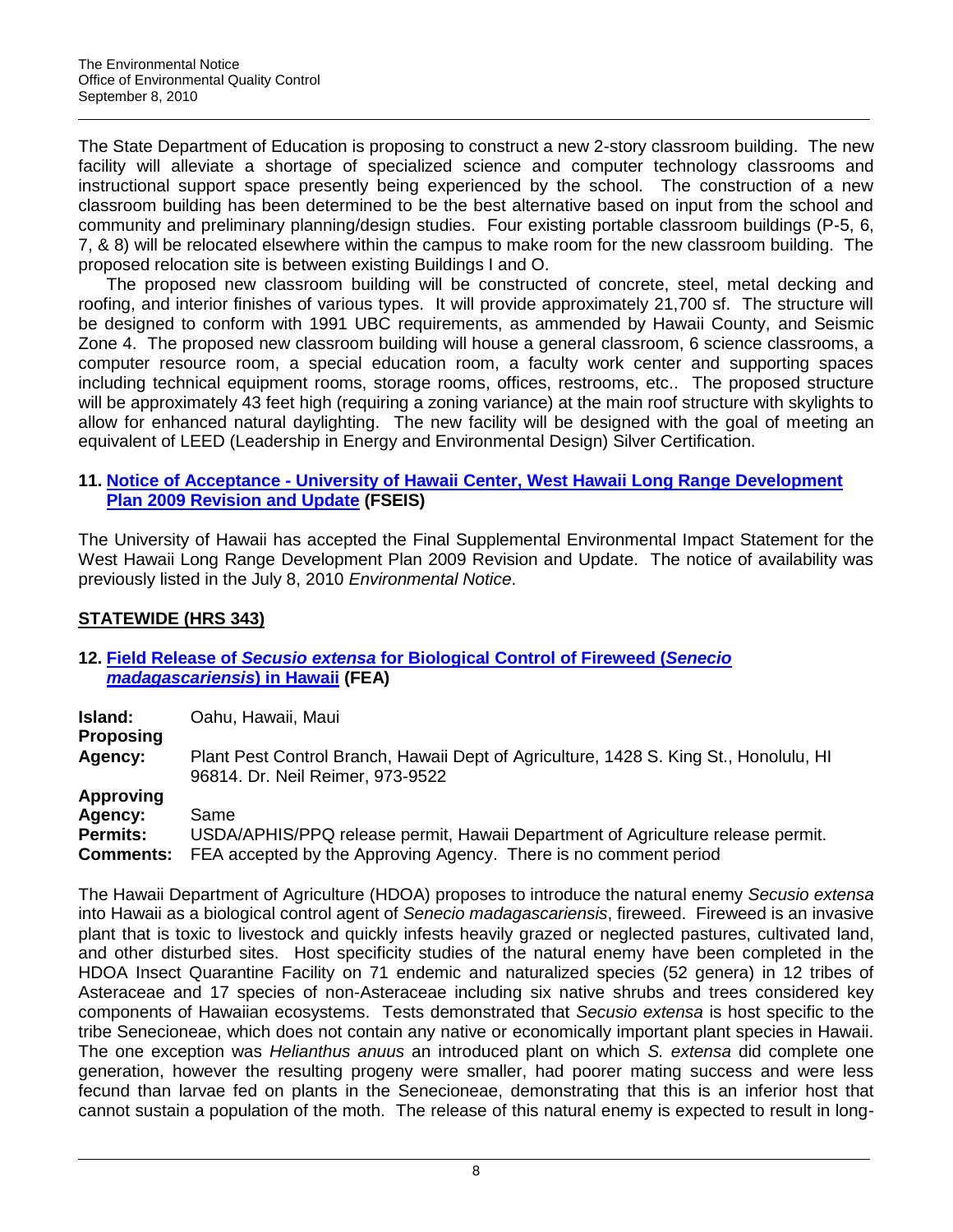The State Department of Education is proposing to construct a new 2-story classroom building. The new facility will alleviate a shortage of specialized science and computer technology classrooms and instructional support space presently being experienced by the school. The construction of a new classroom building has been determined to be the best alternative based on input from the school and community and preliminary planning/design studies. Four existing portable classroom buildings (P-5, 6, 7, & 8) will be relocated elsewhere within the campus to make room for the new classroom building. The proposed relocation site is between existing Buildings I and O.

The proposed new classroom building will be constructed of concrete, steel, metal decking and roofing, and interior finishes of various types. It will provide approximately 21,700 sf. The structure will be designed to conform with 1991 UBC requirements, as ammended by Hawaii County, and Seismic Zone 4. The proposed new classroom building will house a general classroom, 6 science classrooms, a computer resource room, a special education room, a faculty work center and supporting spaces including technical equipment rooms, storage rooms, offices, restrooms, etc.. The proposed structure will be approximately 43 feet high (requiring a zoning variance) at the main roof structure with skylights to allow for enhanced natural daylighting. The new facility will be designed with the goal of meeting an equivalent of LEED (Leadership in Energy and Environmental Design) Silver Certification.

## **11. Notice of Acceptance - [University of Hawaii Center, West Hawaii Long Range Development](http://oeqc.doh.hawaii.gov/Shared%20Documents/EA_and_EIS_Online_Library/Hawaii/2010s/2010-07-08-HA-FSEIS-UH-West-Hawaii-Long-Range-Dev-Plan-2009-Update.pdf)  [Plan 2009 Revision and Update](http://oeqc.doh.hawaii.gov/Shared%20Documents/EA_and_EIS_Online_Library/Hawaii/2010s/2010-07-08-HA-FSEIS-UH-West-Hawaii-Long-Range-Dev-Plan-2009-Update.pdf) (FSEIS)**

The University of Hawaii has accepted the Final Supplemental Environmental Impact Statement for the West Hawaii Long Range Development Plan 2009 Revision and Update. The notice of availability was previously listed in the July 8, 2010 *Environmental Notice*.

# **STATEWIDE (HRS 343)**

## **12. Field Release of** *Secusio extensa* **[for Biological Control of Fireweed \(](http://oeqc.doh.hawaii.gov/Shared%20Documents/EA_and_EIS_Online_Library/Statewide/2010s/2010-09-08-ST-FEA-BioControl-Fireweed.pdf)***Senecio [madagascariensis](http://oeqc.doh.hawaii.gov/Shared%20Documents/EA_and_EIS_Online_Library/Statewide/2010s/2010-09-08-ST-FEA-BioControl-Fireweed.pdf)***) in Hawaii (FEA)**

**Island:** Oahu, Hawaii, Maui **Proposing Agency:** Plant Pest Control Branch, Hawaii Dept of Agriculture, 1428 S. King St., Honolulu, HI 96814. Dr. Neil Reimer, 973-9522 **Approving Agency:** Same **Permits:** USDA/APHIS/PPQ release permit, Hawaii Department of Agriculture release permit. **Comments:** FEA accepted by the Approving Agency. There is no comment period

The Hawaii Department of Agriculture (HDOA) proposes to introduce the natural enemy *Secusio extensa*  into Hawaii as a biological control agent of *Senecio madagascariensis*, fireweed. Fireweed is an invasive plant that is toxic to livestock and quickly infests heavily grazed or neglected pastures, cultivated land, and other disturbed sites. Host specificity studies of the natural enemy have been completed in the HDOA Insect Quarantine Facility on 71 endemic and naturalized species (52 genera) in 12 tribes of Asteraceae and 17 species of non-Asteraceae including six native shrubs and trees considered key components of Hawaiian ecosystems. Tests demonstrated that *Secusio extensa* is host specific to the tribe Senecioneae, which does not contain any native or economically important plant species in Hawaii. The one exception was *Helianthus anuus* an introduced plant on which *S. extensa* did complete one generation, however the resulting progeny were smaller, had poorer mating success and were less fecund than larvae fed on plants in the Senecioneae, demonstrating that this is an inferior host that cannot sustain a population of the moth. The release of this natural enemy is expected to result in long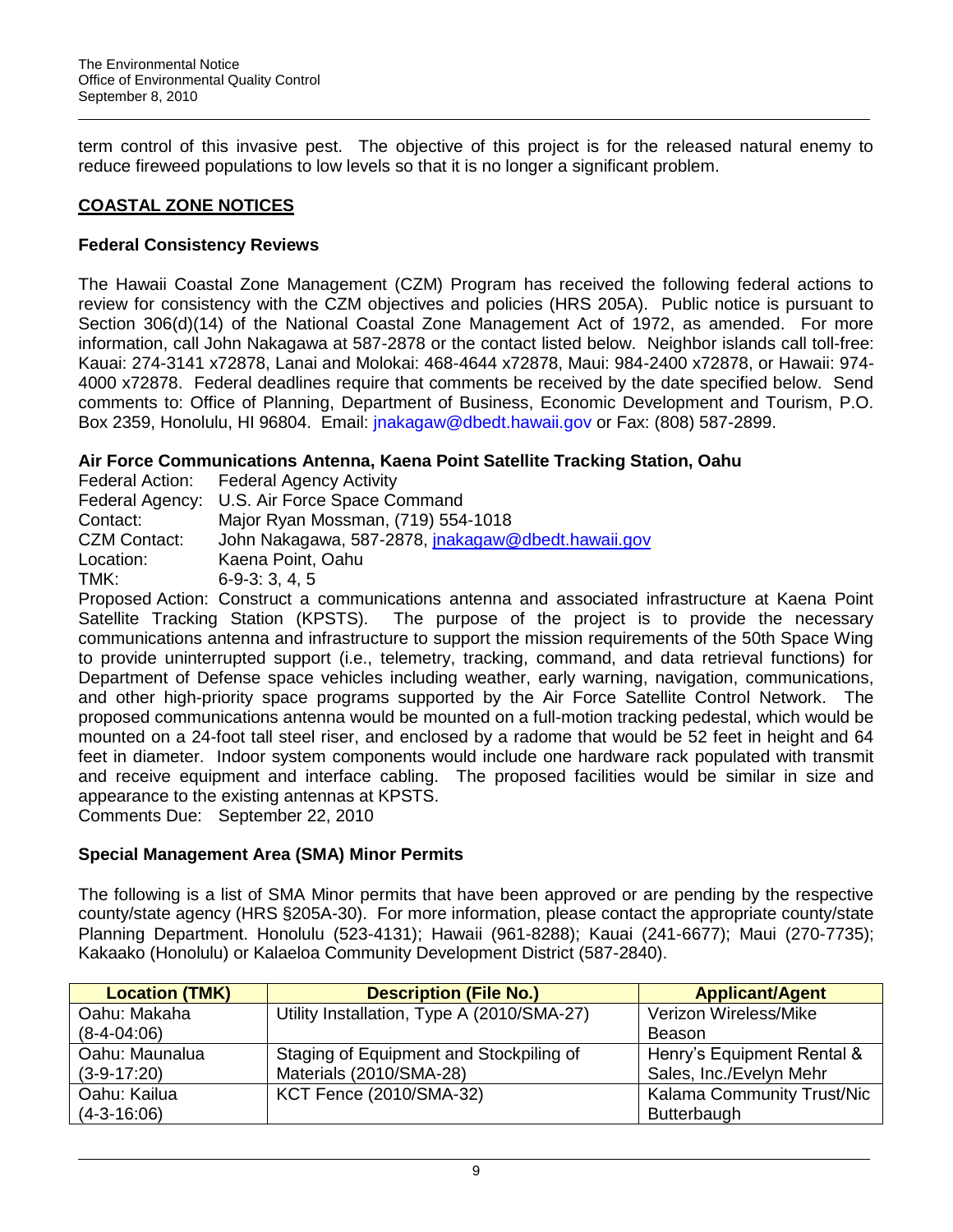term control of this invasive pest. The objective of this project is for the released natural enemy to reduce fireweed populations to low levels so that it is no longer a significant problem.

# **COASTAL ZONE NOTICES**

# **Federal Consistency Reviews**

The Hawaii Coastal Zone Management (CZM) Program has received the following federal actions to review for consistency with the CZM objectives and policies (HRS 205A). Public notice is pursuant to Section 306(d)(14) of the National Coastal Zone Management Act of 1972, as amended. For more information, call John Nakagawa at 587-2878 or the contact listed below. Neighbor islands call toll-free: Kauai: 274-3141 x72878, Lanai and Molokai: 468-4644 x72878, Maui: 984-2400 x72878, or Hawaii: 974- 4000 x72878. Federal deadlines require that comments be received by the date specified below. Send comments to: Office of Planning, Department of Business, Economic Development and Tourism, P.O. Box 2359, Honolulu, HI 96804. Email: [jnakagaw@dbedt.hawaii.gov](mailto:jnakagaw@dbedt.hawaii.gov) or Fax: (808) 587-2899.

# **Air Force Communications Antenna, Kaena Point Satellite Tracking Station, Oahu**

|                     | Federal Action: Federal Agency Activity            |
|---------------------|----------------------------------------------------|
|                     | Federal Agency: U.S. Air Force Space Command       |
| Contact:            | Major Ryan Mossman, (719) 554-1018                 |
| <b>CZM Contact:</b> | John Nakagawa, 587-2878, jnakagaw@dbedt.hawaii.gov |
| Location:           | Kaena Point, Oahu                                  |
| TMK:                | $6-9-3:3,4,5$                                      |

Proposed Action: Construct a communications antenna and associated infrastructure at Kaena Point Satellite Tracking Station (KPSTS). The purpose of the project is to provide the necessary communications antenna and infrastructure to support the mission requirements of the 50th Space Wing to provide uninterrupted support (i.e., telemetry, tracking, command, and data retrieval functions) for Department of Defense space vehicles including weather, early warning, navigation, communications, and other high-priority space programs supported by the Air Force Satellite Control Network. The proposed communications antenna would be mounted on a full-motion tracking pedestal, which would be mounted on a 24-foot tall steel riser, and enclosed by a radome that would be 52 feet in height and 64 feet in diameter. Indoor system components would include one hardware rack populated with transmit and receive equipment and interface cabling. The proposed facilities would be similar in size and appearance to the existing antennas at KPSTS. Comments Due: September 22, 2010

## **Special Management Area (SMA) Minor Permits**

The following is a list of SMA Minor permits that have been approved or are pending by the respective county/state agency (HRS §205A-30). For more information, please contact the appropriate county/state Planning Department. Honolulu (523-4131); Hawaii (961-8288); Kauai (241-6677); Maui (270-7735); Kakaako (Honolulu) or Kalaeloa Community Development District (587-2840).

| <b>Location (TMK)</b> | <b>Description (File No.)</b>              | <b>Applicant/Agent</b>     |
|-----------------------|--------------------------------------------|----------------------------|
| Oahu: Makaha          | Utility Installation, Type A (2010/SMA-27) | Verizon Wireless/Mike      |
| $(8-4-04:06)$         |                                            | Beason                     |
| Oahu: Maunalua        | Staging of Equipment and Stockpiling of    | Henry's Equipment Rental & |
| $(3-9-17:20)$         | Materials (2010/SMA-28)                    | Sales, Inc./Evelyn Mehr    |
| Oahu: Kailua          | <b>KCT Fence (2010/SMA-32)</b>             | Kalama Community Trust/Nic |
| $(4-3-16:06)$         |                                            | Butterbaugh                |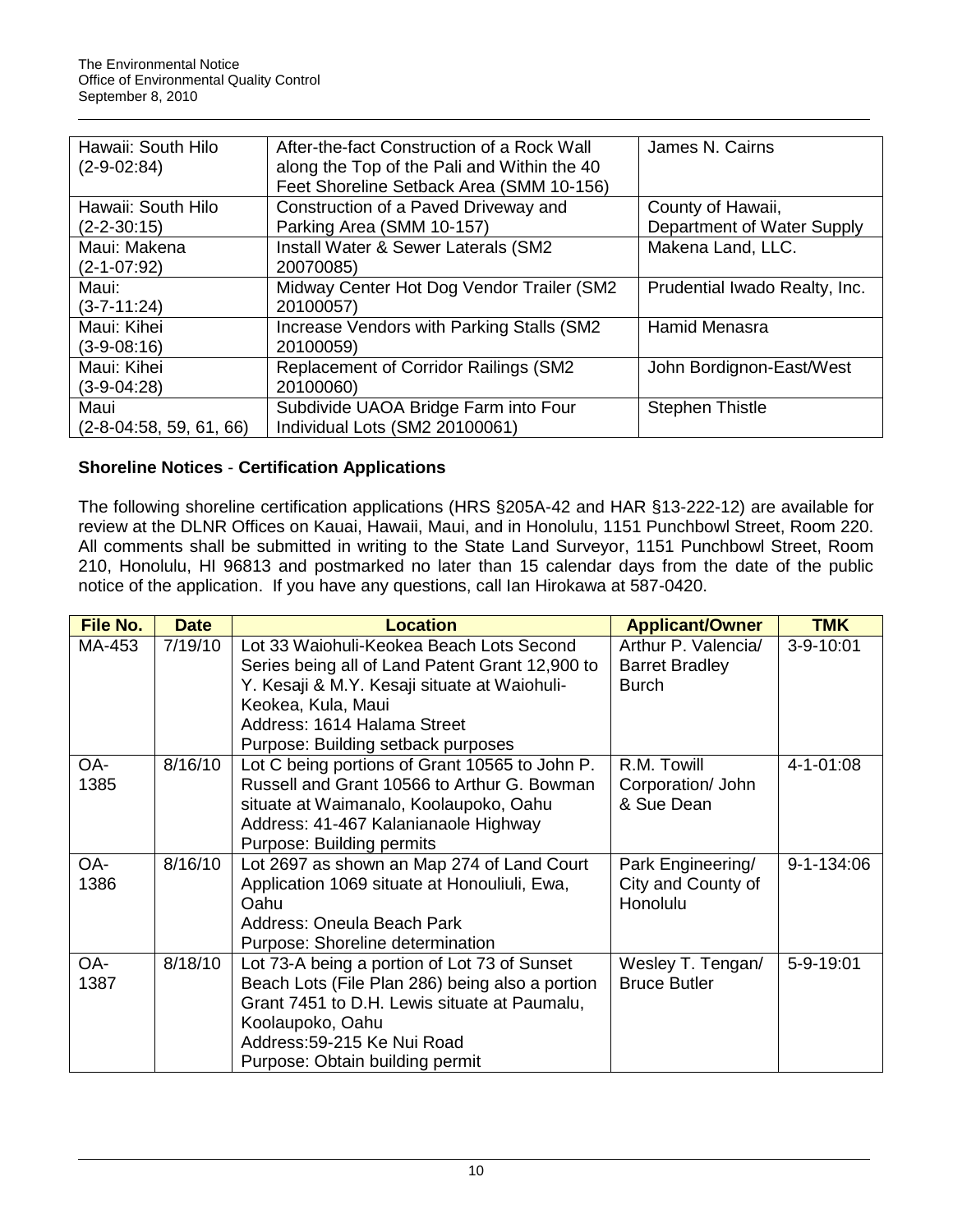| Hawaii: South Hilo        | After-the-fact Construction of a Rock Wall   | James N. Cairns               |
|---------------------------|----------------------------------------------|-------------------------------|
| $(2-9-02:84)$             | along the Top of the Pali and Within the 40  |                               |
|                           | Feet Shoreline Setback Area (SMM 10-156)     |                               |
| Hawaii: South Hilo        | Construction of a Paved Driveway and         | County of Hawaii,             |
| $(2 - 2 - 30:15)$         | Parking Area (SMM 10-157)                    | Department of Water Supply    |
| Maui: Makena              | Install Water & Sewer Laterals (SM2          | Makena Land, LLC.             |
| $(2 - 1 - 07:92)$         | 20070085)                                    |                               |
| Maui:                     | Midway Center Hot Dog Vendor Trailer (SM2    | Prudential Iwado Realty, Inc. |
| $(3 - 7 - 11:24)$         | 20100057)                                    |                               |
| Maui: Kihei               | Increase Vendors with Parking Stalls (SM2)   | <b>Hamid Menasra</b>          |
| $(3-9-08:16)$             | 20100059)                                    |                               |
| Maui: Kihei               | <b>Replacement of Corridor Railings (SM2</b> | John Bordignon-East/West      |
| $(3-9-04:28)$             | 20100060)                                    |                               |
| Maui                      | Subdivide UAOA Bridge Farm into Four         | <b>Stephen Thistle</b>        |
| $(2-8-04:58, 59, 61, 66)$ | Individual Lots (SM2 20100061)               |                               |

# **Shoreline Notices** - **Certification Applications**

The following shoreline certification applications (HRS §205A-42 and HAR §13-222-12) are available for review at the DLNR Offices on Kauai, Hawaii, Maui, and in Honolulu, 1151 Punchbowl Street, Room 220. All comments shall be submitted in writing to the State Land Surveyor, 1151 Punchbowl Street, Room 210, Honolulu, HI 96813 and postmarked no later than 15 calendar days from the date of the public notice of the application. If you have any questions, call Ian Hirokawa at 587-0420.

| <b>File No.</b> | <b>Date</b> | <b>Location</b>                                                                                                                                                                                                                        | <b>Applicant/Owner</b>                                       | <b>TMK</b>      |
|-----------------|-------------|----------------------------------------------------------------------------------------------------------------------------------------------------------------------------------------------------------------------------------------|--------------------------------------------------------------|-----------------|
| MA-453          | 7/19/10     | Lot 33 Waiohuli-Keokea Beach Lots Second<br>Series being all of Land Patent Grant 12,900 to<br>Y. Kesaji & M.Y. Kesaji situate at Waiohuli-<br>Keokea, Kula, Maui<br>Address: 1614 Halama Street<br>Purpose: Building setback purposes | Arthur P. Valencia/<br><b>Barret Bradley</b><br><b>Burch</b> | 3-9-10:01       |
| OA-<br>1385     | 8/16/10     | Lot C being portions of Grant 10565 to John P.<br>Russell and Grant 10566 to Arthur G. Bowman<br>situate at Waimanalo, Koolaupoko, Oahu<br>Address: 41-467 Kalanianaole Highway<br>Purpose: Building permits                           | R.M. Towill<br>Corporation/ John<br>& Sue Dean               | $4 - 1 - 01:08$ |
| OA-<br>1386     | 8/16/10     | Lot 2697 as shown an Map 274 of Land Court<br>Application 1069 situate at Honouliuli, Ewa,<br>Oahu<br>Address: Oneula Beach Park<br>Purpose: Shoreline determination                                                                   | Park Engineering/<br>City and County of<br>Honolulu          | 9-1-134:06      |
| OA-<br>1387     | 8/18/10     | Lot 73-A being a portion of Lot 73 of Sunset<br>Beach Lots (File Plan 286) being also a portion<br>Grant 7451 to D.H. Lewis situate at Paumalu,<br>Koolaupoko, Oahu<br>Address: 59-215 Ke Nui Road<br>Purpose: Obtain building permit  | Wesley T. Tengan/<br><b>Bruce Butler</b>                     | 5-9-19:01       |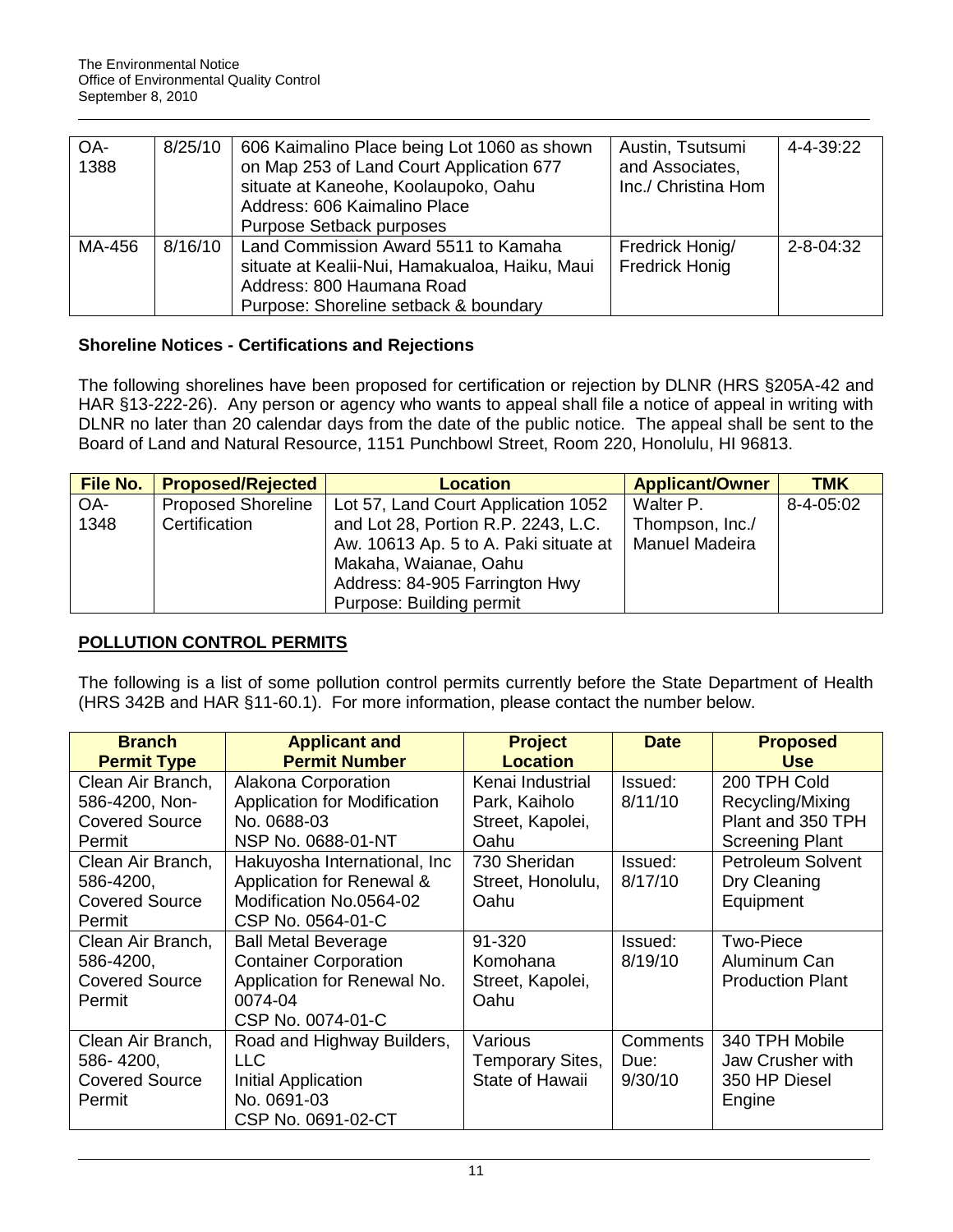| OA-<br>1388 | 8/25/10 | 606 Kaimalino Place being Lot 1060 as shown<br>on Map 253 of Land Court Application 677<br>situate at Kaneohe, Koolaupoko, Oahu<br>Address: 606 Kaimalino Place<br><b>Purpose Setback purposes</b> | Austin, Tsutsumi<br>and Associates,<br>Inc./ Christina Hom | 4-4-39:22       |
|-------------|---------|----------------------------------------------------------------------------------------------------------------------------------------------------------------------------------------------------|------------------------------------------------------------|-----------------|
| MA-456      | 8/16/10 | Land Commission Award 5511 to Kamaha<br>situate at Kealii-Nui, Hamakualoa, Haiku, Maui<br>Address: 800 Haumana Road<br>Purpose: Shoreline setback & boundary                                       | Fredrick Honig/<br><b>Fredrick Honig</b>                   | $2 - 8 - 04:32$ |

## **Shoreline Notices - Certifications and Rejections**

The following shorelines have been proposed for certification or rejection by DLNR (HRS §205A-42 and HAR §13-222-26). Any person or agency who wants to appeal shall file a notice of appeal in writing with DLNR no later than 20 calendar days from the date of the public notice. The appeal shall be sent to the Board of Land and Natural Resource, 1151 Punchbowl Street, Room 220, Honolulu, HI 96813.

| File No. | <b>Proposed/Rejected</b>  | <b>Location</b>                       | <b>Applicant/Owner</b> | <b>TMK</b> |
|----------|---------------------------|---------------------------------------|------------------------|------------|
| OA-      | <b>Proposed Shoreline</b> | Lot 57, Land Court Application 1052   | Walter P.              | 8-4-05:02  |
| 1348     | Certification             | and Lot 28, Portion R.P. 2243, L.C.   | Thompson, Inc./        |            |
|          |                           | Aw. 10613 Ap. 5 to A. Paki situate at | Manuel Madeira         |            |
|          |                           | Makaha, Waianae, Oahu                 |                        |            |
|          |                           | Address: 84-905 Farrington Hwy        |                        |            |
|          |                           | Purpose: Building permit              |                        |            |

# **POLLUTION CONTROL PERMITS**

The following is a list of some pollution control permits currently before the State Department of Health (HRS 342B and HAR §11-60.1). For more information, please contact the number below.

| <b>Branch</b><br><b>Permit Type</b>                                         | <b>Applicant and</b><br><b>Permit Number</b>                                                                                     | <b>Project</b><br><b>Location</b>                     | <b>Date</b>                 | <b>Proposed</b><br><b>Use</b>                                                   |
|-----------------------------------------------------------------------------|----------------------------------------------------------------------------------------------------------------------------------|-------------------------------------------------------|-----------------------------|---------------------------------------------------------------------------------|
| Clean Air Branch,<br>586-4200, Non-<br><b>Covered Source</b>                | Alakona Corporation<br><b>Application for Modification</b><br>No. 0688-03                                                        | Kenai Industrial<br>Park, Kaiholo<br>Street, Kapolei, | Issued:<br>8/11/10          | 200 TPH Cold<br>Recycling/Mixing<br>Plant and 350 TPH                           |
| Permit<br>Clean Air Branch,<br>586-4200,<br><b>Covered Source</b><br>Permit | NSP No. 0688-01-NT<br>Hakuyosha International, Inc.<br>Application for Renewal &<br>Modification No.0564-02<br>CSP No. 0564-01-C | Oahu<br>730 Sheridan<br>Street, Honolulu,<br>Oahu     | Issued:<br>8/17/10          | <b>Screening Plant</b><br><b>Petroleum Solvent</b><br>Dry Cleaning<br>Equipment |
| Clean Air Branch,<br>586-4200,<br><b>Covered Source</b><br>Permit           | <b>Ball Metal Beverage</b><br><b>Container Corporation</b><br>Application for Renewal No.<br>0074-04<br>CSP No. 0074-01-C        | 91-320<br>Komohana<br>Street, Kapolei,<br>Oahu        | Issued:<br>8/19/10          | <b>Two-Piece</b><br>Aluminum Can<br><b>Production Plant</b>                     |
| Clean Air Branch,<br>586-4200,<br><b>Covered Source</b><br>Permit           | Road and Highway Builders,<br><b>LLC</b><br>Initial Application<br>No. 0691-03<br>CSP No. 0691-02-CT                             | Various<br>Temporary Sites,<br>State of Hawaii        | Comments<br>Due:<br>9/30/10 | 340 TPH Mobile<br>Jaw Crusher with<br>350 HP Diesel<br>Engine                   |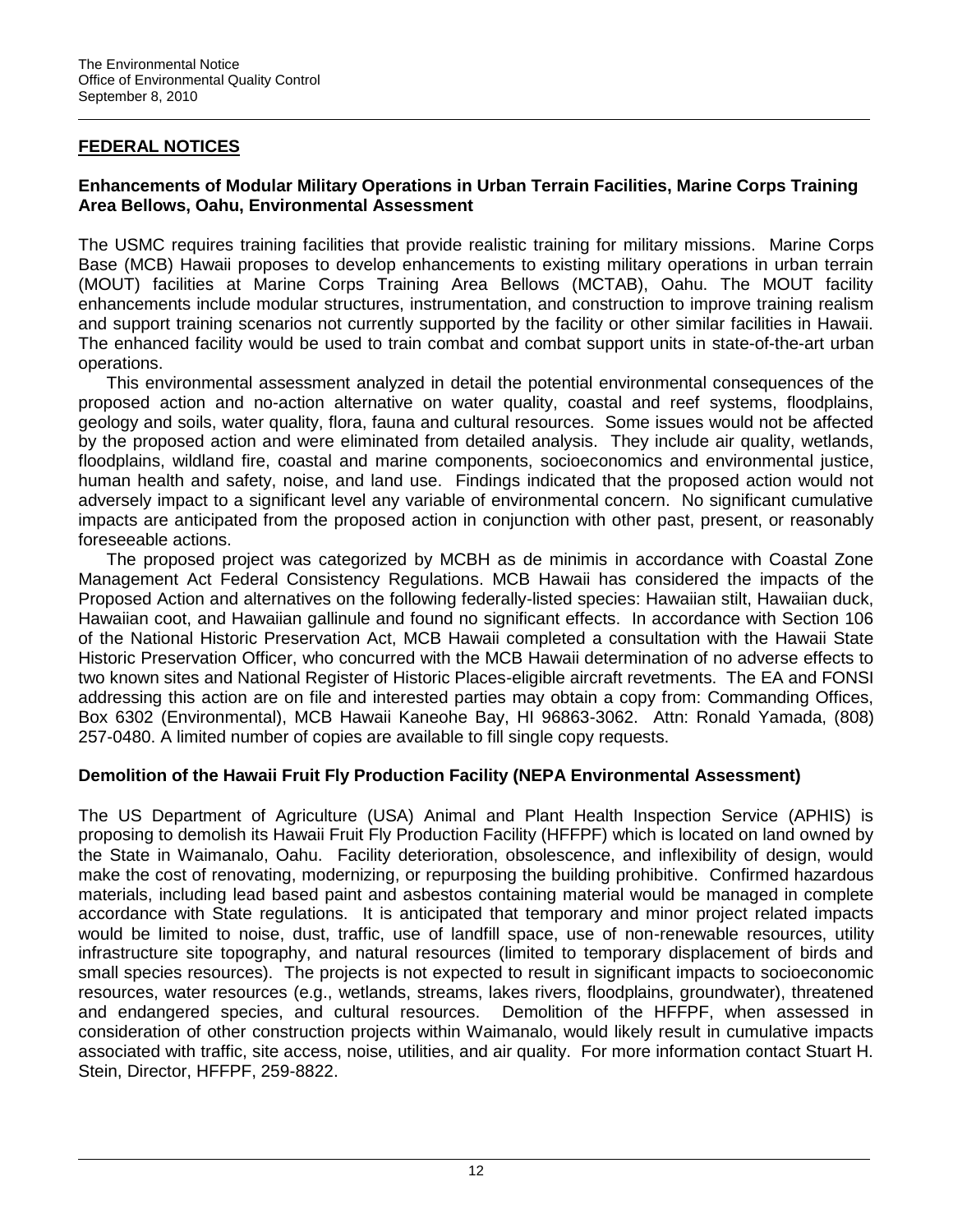# **FEDERAL NOTICES**

## **Enhancements of Modular Military Operations in Urban Terrain Facilities, Marine Corps Training Area Bellows, Oahu, Environmental Assessment**

The USMC requires training facilities that provide realistic training for military missions. Marine Corps Base (MCB) Hawaii proposes to develop enhancements to existing military operations in urban terrain (MOUT) facilities at Marine Corps Training Area Bellows (MCTAB), Oahu. The MOUT facility enhancements include modular structures, instrumentation, and construction to improve training realism and support training scenarios not currently supported by the facility or other similar facilities in Hawaii. The enhanced facility would be used to train combat and combat support units in state-of-the-art urban operations.

This environmental assessment analyzed in detail the potential environmental consequences of the proposed action and no-action alternative on water quality, coastal and reef systems, floodplains, geology and soils, water quality, flora, fauna and cultural resources. Some issues would not be affected by the proposed action and were eliminated from detailed analysis. They include air quality, wetlands, floodplains, wildland fire, coastal and marine components, socioeconomics and environmental justice, human health and safety, noise, and land use. Findings indicated that the proposed action would not adversely impact to a significant level any variable of environmental concern. No significant cumulative impacts are anticipated from the proposed action in conjunction with other past, present, or reasonably foreseeable actions.

The proposed project was categorized by MCBH as de minimis in accordance with Coastal Zone Management Act Federal Consistency Regulations. MCB Hawaii has considered the impacts of the Proposed Action and alternatives on the following federally-listed species: Hawaiian stilt, Hawaiian duck, Hawaiian coot, and Hawaiian gallinule and found no significant effects. In accordance with Section 106 of the National Historic Preservation Act, MCB Hawaii completed a consultation with the Hawaii State Historic Preservation Officer, who concurred with the MCB Hawaii determination of no adverse effects to two known sites and National Register of Historic Places-eligible aircraft revetments. The EA and FONSI addressing this action are on file and interested parties may obtain a copy from: Commanding Offices, Box 6302 (Environmental), MCB Hawaii Kaneohe Bay, HI 96863-3062. Attn: Ronald Yamada, (808) 257-0480. A limited number of copies are available to fill single copy requests.

## **Demolition of the Hawaii Fruit Fly Production Facility (NEPA Environmental Assessment)**

The US Department of Agriculture (USA) Animal and Plant Health Inspection Service (APHIS) is proposing to demolish its Hawaii Fruit Fly Production Facility (HFFPF) which is located on land owned by the State in Waimanalo, Oahu. Facility deterioration, obsolescence, and inflexibility of design, would make the cost of renovating, modernizing, or repurposing the building prohibitive. Confirmed hazardous materials, including lead based paint and asbestos containing material would be managed in complete accordance with State regulations. It is anticipated that temporary and minor project related impacts would be limited to noise, dust, traffic, use of landfill space, use of non-renewable resources, utility infrastructure site topography, and natural resources (limited to temporary displacement of birds and small species resources). The projects is not expected to result in significant impacts to socioeconomic resources, water resources (e.g., wetlands, streams, lakes rivers, floodplains, groundwater), threatened and endangered species, and cultural resources. Demolition of the HFFPF, when assessed in consideration of other construction projects within Waimanalo, would likely result in cumulative impacts associated with traffic, site access, noise, utilities, and air quality. For more information contact Stuart H. Stein, Director, HFFPF, 259-8822.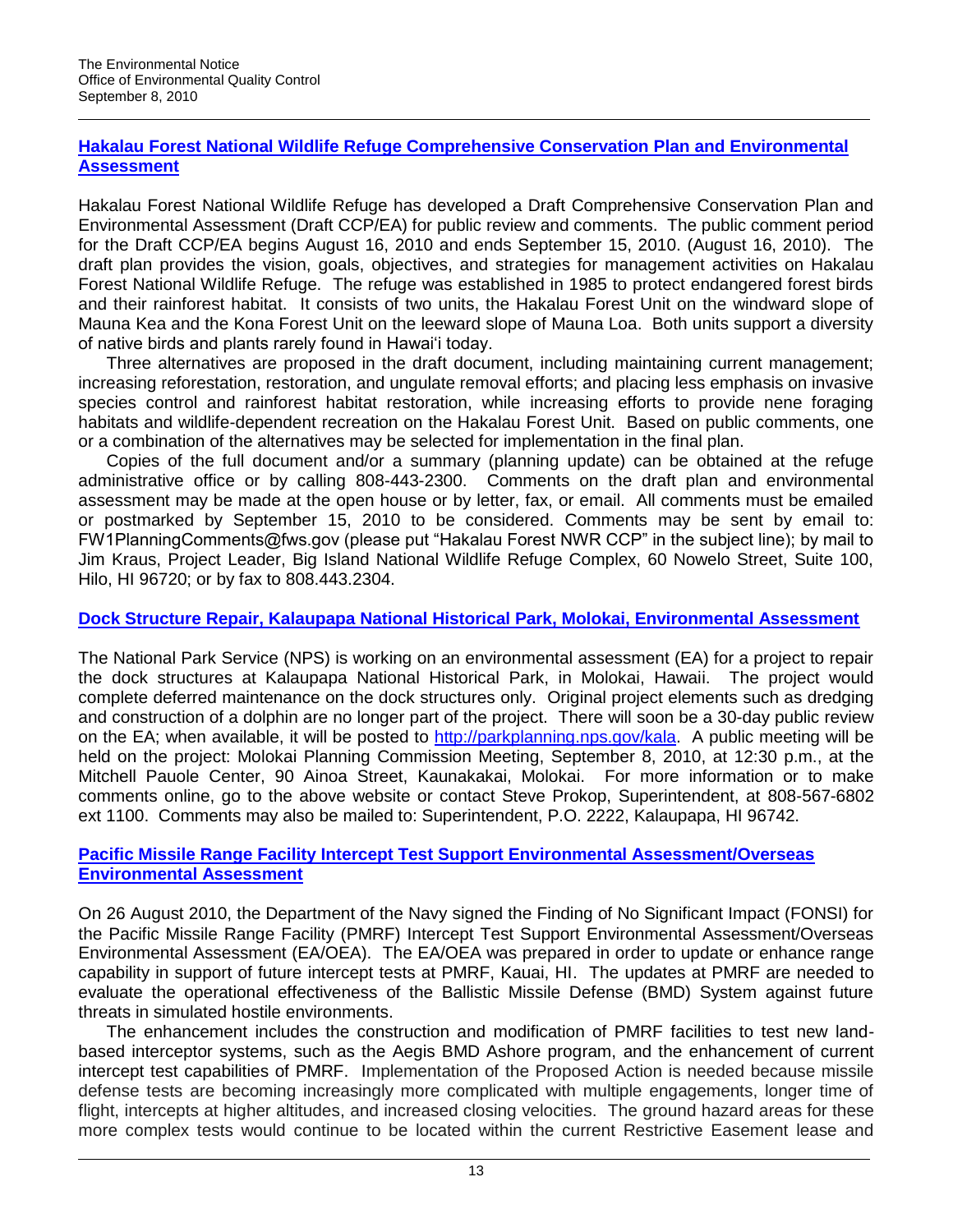# **[Hakalau Forest National Wildlife Refuge Comprehensive Conservation Plan and Environmental](http://www.fws.gov/hakalauforest/planning.html)  [Assessment](http://www.fws.gov/hakalauforest/planning.html)**

Hakalau Forest National Wildlife Refuge has developed a Draft Comprehensive Conservation Plan and Environmental Assessment (Draft CCP/EA) for public review and comments. The public comment period for the Draft CCP/EA begins August 16, 2010 and ends September 15, 2010. (August 16, 2010). The draft plan provides the vision, goals, objectives, and strategies for management activities on Hakalau Forest National Wildlife Refuge. The refuge was established in 1985 to protect endangered forest birds and their rainforest habitat. It consists of two units, the Hakalau Forest Unit on the windward slope of Mauna Kea and the Kona Forest Unit on the leeward slope of Mauna Loa. Both units support a diversity of native birds and plants rarely found in Hawai"i today.

Three alternatives are proposed in the draft document, including maintaining current management; increasing reforestation, restoration, and ungulate removal efforts; and placing less emphasis on invasive species control and rainforest habitat restoration, while increasing efforts to provide nene foraging habitats and wildlife-dependent recreation on the Hakalau Forest Unit. Based on public comments, one or a combination of the alternatives may be selected for implementation in the final plan.

Copies of the full document and/or a summary (planning update) can be obtained at the refuge administrative office or by calling 808-443-2300. Comments on the draft plan and environmental assessment may be made at the open house or by letter, fax, or email. All comments must be emailed or postmarked by September 15, 2010 to be considered. Comments may be sent by email to: FW1PlanningComments@fws.gov (please put "Hakalau Forest NWR CCP" in the subject line); by mail to Jim Kraus, Project Leader, Big Island National Wildlife Refuge Complex, 60 Nowelo Street, Suite 100, Hilo, HI 96720; or by fax to 808.443.2304.

## **[Dock Structure Repair, Kalaupapa National Historical Park, Molokai, Environmental Assessment](http://parkplanning.nps.gov/kala)**

The National Park Service (NPS) is working on an environmental assessment (EA) for a project to repair the dock structures at Kalaupapa National Historical Park, in Molokai, Hawaii. The project would complete deferred maintenance on the dock structures only. Original project elements such as dredging and construction of a dolphin are no longer part of the project. There will soon be a 30-day public review on the EA; when available, it will be posted to [http://parkplanning.nps.gov/kala.](http://parkplanning.nps.gov/kala) A public meeting will be held on the project: Molokai Planning Commission Meeting, September 8, 2010, at 12:30 p.m., at the Mitchell Pauole Center, 90 Ainoa Street, Kaunakakai, Molokai. For more information or to make comments online, go to the above website or contact Steve Prokop, Superintendent, at 808-567-6802 ext 1100. Comments may also be mailed to: Superintendent, P.O. 2222, Kalaupapa, HI 96742.

## **[Pacific Missile Range Facility Intercept Test Support Environmental Assessment/Overseas](http://www.govsupport.us/navynepahawaii/pmrfitsea.aspx)  [Environmental Assessment](http://www.govsupport.us/navynepahawaii/pmrfitsea.aspx)**

On 26 August 2010, the Department of the Navy signed the Finding of No Significant Impact (FONSI) for the Pacific Missile Range Facility (PMRF) Intercept Test Support Environmental Assessment/Overseas Environmental Assessment (EA/OEA). The EA/OEA was prepared in order to update or enhance range capability in support of future intercept tests at PMRF, Kauai, HI. The updates at PMRF are needed to evaluate the operational effectiveness of the Ballistic Missile Defense (BMD) System against future threats in simulated hostile environments.

The enhancement includes the construction and modification of PMRF facilities to test new landbased interceptor systems, such as the Aegis BMD Ashore program, and the enhancement of current intercept test capabilities of PMRF. Implementation of the Proposed Action is needed because missile defense tests are becoming increasingly more complicated with multiple engagements, longer time of flight, intercepts at higher altitudes, and increased closing velocities. The ground hazard areas for these more complex tests would continue to be located within the current Restrictive Easement lease and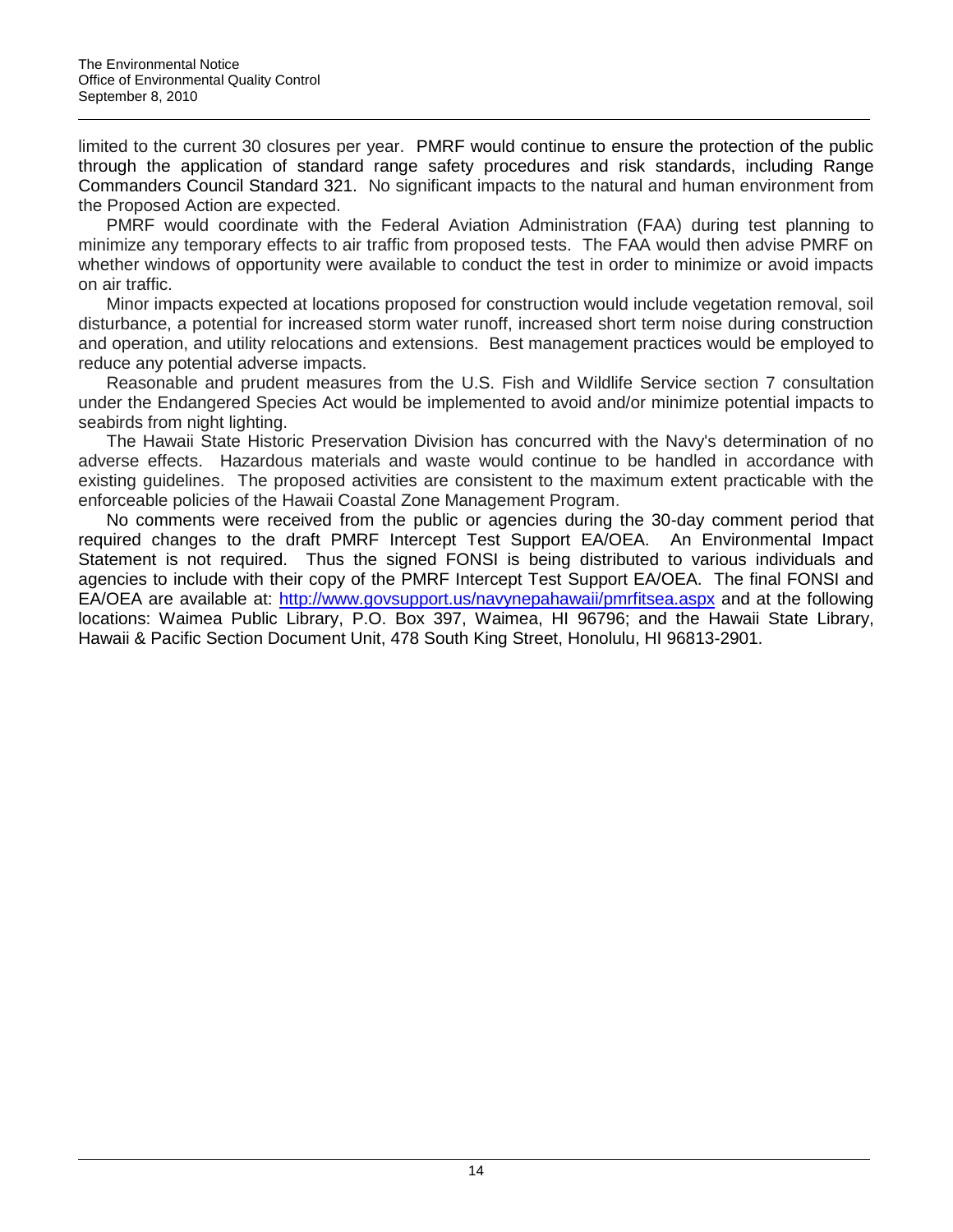limited to the current 30 closures per year. PMRF would continue to ensure the protection of the public through the application of standard range safety procedures and risk standards, including Range Commanders Council Standard 321. No significant impacts to the natural and human environment from the Proposed Action are expected.

PMRF would coordinate with the Federal Aviation Administration (FAA) during test planning to minimize any temporary effects to air traffic from proposed tests. The FAA would then advise PMRF on whether windows of opportunity were available to conduct the test in order to minimize or avoid impacts on air traffic.

Minor impacts expected at locations proposed for construction would include vegetation removal, soil disturbance, a potential for increased storm water runoff, increased short term noise during construction and operation, and utility relocations and extensions. Best management practices would be employed to reduce any potential adverse impacts.

Reasonable and prudent measures from the U.S. Fish and Wildlife Service section 7 consultation under the Endangered Species Act would be implemented to avoid and/or minimize potential impacts to seabirds from night lighting.

The Hawaii State Historic Preservation Division has concurred with the Navy's determination of no adverse effects. Hazardous materials and waste would continue to be handled in accordance with existing guidelines. The proposed activities are consistent to the maximum extent practicable with the enforceable policies of the Hawaii Coastal Zone Management Program.

No comments were received from the public or agencies during the 30-day comment period that required changes to the draft PMRF Intercept Test Support EA/OEA. An Environmental Impact Statement is not required. Thus the signed FONSI is being distributed to various individuals and agencies to include with their copy of the PMRF Intercept Test Support EA/OEA. The final FONSI and EA/OEA are available at:<http://www.govsupport.us/navynepahawaii/pmrfitsea.aspx> and at the following locations: Waimea Public Library, P.O. Box 397, Waimea, HI 96796; and the Hawaii State Library, Hawaii & Pacific Section Document Unit, 478 South King Street, Honolulu, HI 96813-2901.